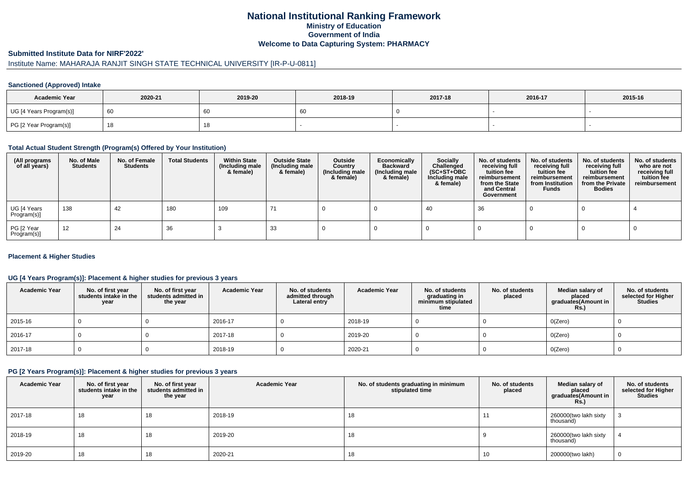## **National Institutional Ranking FrameworkMinistry of Education Government of IndiaWelcome to Data Capturing System: PHARMACY**

#### **Submitted Institute Data for NIRF'2022'**

# Institute Name: MAHARAJA RANJIT SINGH STATE TECHNICAL UNIVERSITY [IR-P-U-0811]

#### **Sanctioned (Approved) Intake**

| <b>Academic Year</b>    | 2020-21 | 2019-20 | 2018-19 | 2017-18 | 2016-17 | 2015-16 |
|-------------------------|---------|---------|---------|---------|---------|---------|
| UG [4 Years Program(s)] |         | 60      | 60      |         |         |         |
| PG [2 Year Program(s)]  |         | 10      |         |         |         |         |

#### **Total Actual Student Strength (Program(s) Offered by Your Institution)**

| (All programs<br>of all years) | No. of Male<br><b>Students</b> | No. of Female<br>Students | <b>Total Students</b> | <b>Within State</b><br>(Including male<br>& female) | <b>Outside State</b><br>(Including male<br>& female) | Outside<br>Country<br>(Including male<br>& female) | Economically<br><b>Backward</b><br>(Including male<br>& female) | <b>Socially</b><br>Challenged<br>$(SC+ST+OBC)$<br>Including male<br>& female) | No. of students<br>receiving full<br>tuition fee<br>reimbursement<br>from the State<br>and Central<br>Government | No. of students<br>receiving full<br>tuition fee<br>reimbursement<br>from Institution<br><b>Funds</b> | No. of students<br>receiving full<br>tuition fee<br>reimbursement<br>from the Private<br><b>Bodies</b> | No. of students<br>who are not<br>receiving full<br>tuition fee<br>reimbursement |
|--------------------------------|--------------------------------|---------------------------|-----------------------|-----------------------------------------------------|------------------------------------------------------|----------------------------------------------------|-----------------------------------------------------------------|-------------------------------------------------------------------------------|------------------------------------------------------------------------------------------------------------------|-------------------------------------------------------------------------------------------------------|--------------------------------------------------------------------------------------------------------|----------------------------------------------------------------------------------|
| UG [4 Years<br>Program(s)]     | 138                            | 42                        | 180                   | 109                                                 |                                                      |                                                    |                                                                 | -40                                                                           | 36                                                                                                               |                                                                                                       |                                                                                                        |                                                                                  |
| PG [2 Year<br>Program(s)]      | 12                             | 24                        | 36                    |                                                     | -33                                                  |                                                    |                                                                 |                                                                               |                                                                                                                  |                                                                                                       |                                                                                                        |                                                                                  |

#### **Placement & Higher Studies**

#### **UG [4 Years Program(s)]: Placement & higher studies for previous 3 years**

| <b>Academic Year</b> | No. of first year<br>students intake in the<br>year | No. of first vear<br>students admitted in<br>the year | <b>Academic Year</b> | No. of students<br>admitted through<br>Lateral entry | <b>Academic Year</b> | No. of students<br>graduating in<br>minimum stipulated<br>time | No. of students<br>placed | Median salary of<br>placed<br>graduates(Amount in<br><b>Rs.)</b> | No. of students<br>selected for Higher<br><b>Studies</b> |
|----------------------|-----------------------------------------------------|-------------------------------------------------------|----------------------|------------------------------------------------------|----------------------|----------------------------------------------------------------|---------------------------|------------------------------------------------------------------|----------------------------------------------------------|
| 2015-16              |                                                     |                                                       | 2016-17              |                                                      | 2018-19              |                                                                |                           | O(Zero)                                                          |                                                          |
| 2016-17              |                                                     |                                                       | 2017-18              |                                                      | 2019-20              |                                                                |                           | O(Zero)                                                          |                                                          |
| 2017-18              |                                                     |                                                       | 2018-19              |                                                      | 2020-21              |                                                                |                           | O(Zero)                                                          |                                                          |

### **PG [2 Years Program(s)]: Placement & higher studies for previous 3 years**

| <b>Academic Year</b> | No. of first year<br>students intake in the<br>year | No. of first year<br>students admitted in<br>the year | <b>Academic Year</b> | No. of students graduating in minimum<br>stipulated time | No. of students<br>placed | Median salary of<br>placed<br>graduates(Amount in<br><b>Rs.)</b> | No. of students<br>selected for Higher<br><b>Studies</b> |
|----------------------|-----------------------------------------------------|-------------------------------------------------------|----------------------|----------------------------------------------------------|---------------------------|------------------------------------------------------------------|----------------------------------------------------------|
| 2017-18              | 18                                                  | 18                                                    | 2018-19              | 18                                                       | . .                       | 260000(two lakh sixty<br>thousand)                               |                                                          |
| 2018-19              | 18                                                  | 18                                                    | 2019-20              | 18                                                       |                           | 260000(two lakh sixty<br>thousand)                               |                                                          |
| 2019-20              | 18                                                  | 18                                                    | 2020-21              | 18                                                       | 10                        | 200000(two lakh)                                                 | U                                                        |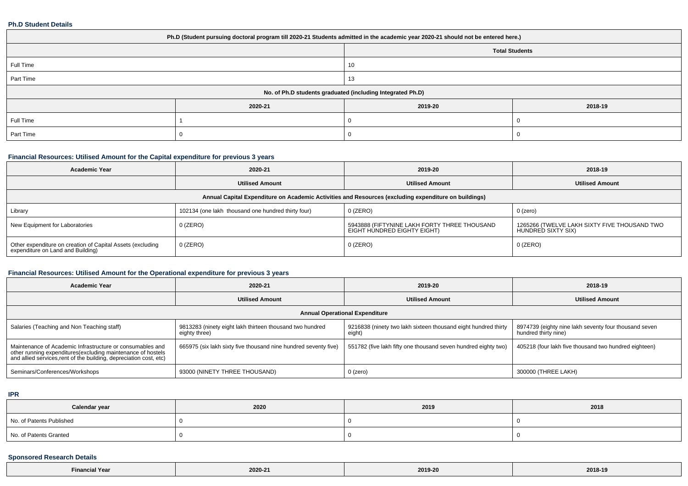#### **Ph.D Student Details**

| Ph.D (Student pursuing doctoral program till 2020-21 Students admitted in the academic year 2020-21 should not be entered here.) |         |                       |         |  |  |
|----------------------------------------------------------------------------------------------------------------------------------|---------|-----------------------|---------|--|--|
|                                                                                                                                  |         | <b>Total Students</b> |         |  |  |
| Full Time                                                                                                                        |         | 10                    |         |  |  |
| Part Time                                                                                                                        |         | 13                    |         |  |  |
| No. of Ph.D students graduated (including Integrated Ph.D)                                                                       |         |                       |         |  |  |
|                                                                                                                                  | 2020-21 | 2019-20               | 2018-19 |  |  |
| Full Time                                                                                                                        |         |                       |         |  |  |
| Part Time                                                                                                                        |         |                       |         |  |  |

### **Financial Resources: Utilised Amount for the Capital expenditure for previous 3 years**

| <b>Academic Year</b>                                                                                 | 2020-21                                            | 2019-20                                                                     | 2018-19                                                            |  |  |  |
|------------------------------------------------------------------------------------------------------|----------------------------------------------------|-----------------------------------------------------------------------------|--------------------------------------------------------------------|--|--|--|
|                                                                                                      | <b>Utilised Amount</b>                             | <b>Utilised Amount</b>                                                      | <b>Utilised Amount</b>                                             |  |  |  |
| Annual Capital Expenditure on Academic Activities and Resources (excluding expenditure on buildings) |                                                    |                                                                             |                                                                    |  |  |  |
| Library                                                                                              | 102134 (one lakh thousand one hundred thirty four) | $0$ (ZERO)                                                                  | $0$ (zero)                                                         |  |  |  |
| New Equipment for Laboratories                                                                       | $0$ (ZERO)                                         | 5943888 (FIFTYNINE LAKH FORTY THREE THOUSAND<br>EIGHT HUNDRED EIGHTY EIGHT) | 1265266 (TWELVE LAKH SIXTY FIVE THOUSAND TWO<br>HUNDRED SIXTY SIX) |  |  |  |
| Other expenditure on creation of Capital Assets (excluding<br>expenditure on Land and Building)      | $0$ (ZERO)                                         | $0$ (ZERO)                                                                  | $0$ (ZERO)                                                         |  |  |  |

### **Financial Resources: Utilised Amount for the Operational expenditure for previous 3 years**

| <b>Academic Year</b>                                                                                                                                                                           | 2020-21                                                                   | 2019-20                                                                  | 2018-19                                                                       |  |  |  |
|------------------------------------------------------------------------------------------------------------------------------------------------------------------------------------------------|---------------------------------------------------------------------------|--------------------------------------------------------------------------|-------------------------------------------------------------------------------|--|--|--|
|                                                                                                                                                                                                | <b>Utilised Amount</b>                                                    | <b>Utilised Amount</b>                                                   | <b>Utilised Amount</b>                                                        |  |  |  |
| <b>Annual Operational Expenditure</b>                                                                                                                                                          |                                                                           |                                                                          |                                                                               |  |  |  |
| Salaries (Teaching and Non Teaching staff)                                                                                                                                                     | 9813283 (ninety eight lakh thirteen thousand two hundred<br>eighty three) | 9216838 (ninety two lakh sixteen thousand eight hundred thirty<br>eight) | 8974739 (eighty nine lakh seventy four thousand seven<br>hundred thirty nine) |  |  |  |
| Maintenance of Academic Infrastructure or consumables and<br>other running expenditures(excluding maintenance of hostels<br>and allied services, rent of the building, depreciation cost, etc) | 665975 (six lakh sixty five thousand nine hundred seventy five)           | 551782 (five lakh fifty one thousand seven hundred eighty two)           | 405218 (four lakh five thousand two hundred eighteen)                         |  |  |  |
| Seminars/Conferences/Workshops                                                                                                                                                                 | 93000 (NINETY THREE THOUSAND)                                             | 0 (zero)                                                                 | 300000 (THREE LAKH)                                                           |  |  |  |

#### **IPR**

| Calendar year            | 2020 | 2019 | 2018 |
|--------------------------|------|------|------|
| No. of Patents Published |      |      |      |
| No. of Patents Granted   |      |      |      |

### **Sponsored Research Details**

| $\sim$ $\sim$ $\sim$<br>ial Year: | 2020-21 | 2019-20 | 2018-19 |
|-----------------------------------|---------|---------|---------|
|-----------------------------------|---------|---------|---------|